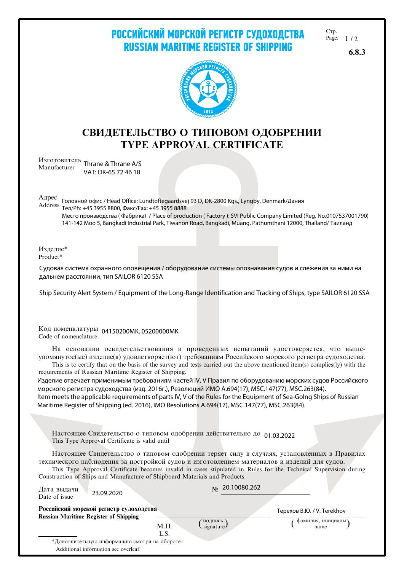РОССИЙСКИЙ МОРСКОЙ РЕГИСТР СУДОХОДСТВА **RUSSIAN MARITIME REGISTER OF SHIPPING** 

C<sub>Tp</sub>. Page.  $1/2$ 

6.8.3



## СВИДЕТЕЛЬСТВО О ТИПОВОМ ОДОБРЕНИИ TYPE APPROVAL CERTIFICATE

Изготовитель<br>Manyfosturer Thrane & Thrane A/S Manufacturer VAT: DK-65 72 46 18

Алрес

 Тел/Ph: +45 3955 8800, Факс/Fax: +45 3955 8888 Головной офис / Head Office: Lundtoftegaardsvej 93 D, DK-2800 Kgs., Lyngby, Denmark/Дания Место производства ( Фабрика) / Place of production ( Factory ): SVI Public Company Limited (Reg. No.0107537001790) 141-142 Moo 5, Bangkadi Industrial Park, Tiwanon Road, Bangkadi, Muang, Pathumthani 12000, Thailand/ Таиланд

Изделие\* Product\*

Судовая система охранного оповещения / оборудование системы опознавания судов и слежения за ними на дальнем расстоянии, тип SAILOR 6120 SSA

Ship Security Alert System / Equipment of the Long-Range ldentification and Tracking of Ships, type SAILOR 6120 SSA

Код номенклатуры 04150200MK, 05200000MK Code of nomenclature

На основании освидетельствования и проведенных испытаний удостоверяется, что вышеупомянутое(ые) изделие(я) удовлетворяет(ют) требованиям Российского морского регистра судоходства.

This is to certify that on the basis of the survey and tests carried out the above mentioned item(s) complies(ly) with the requirements of Russian Maritime Register of Shipping.

Изделие отвечает применимым требованиям частей IV, V Правил по оборудованию морских судов Российского морского регистра судоходства (изд. 2016г.), Резолюций ИMО А.694(17), MSC.147(77), MSC.263(84). Item meets the аpplicable requirements of parts IV, V of the Rules for the Equipment of Sea-Golng Ships of Russian Maritime Register of Shipping (ed. 2016), IMO Resolutions A.694(17), MSC.147(77), MSC.263(84).

Настоящее Свидетельство о типовом одобрении действительно до 01.03.2022 This Type Approval Certificate is valid until

Настоящее Свидетельство о типовом одобрении теряет силу в случаях, установленных в Правилах технического наблюдения за постройкой судов и изготовлением материалов и изделий для судов.

This Type Approval Certificate becomes invalid in cases stipulated in Rules for the Technical Supervision during Construction of Ships and Manufacture of Shipboard Materials and Products.

| Дата выдачи<br>23.09.2020<br>Date of issue                                             |          | $\mu$ 20.10080.262            |                            |
|----------------------------------------------------------------------------------------|----------|-------------------------------|----------------------------|
| Российский морской регистр судоходства<br><b>Russian Maritime Register of Shipping</b> |          |                               | Терехов В.Ю. / V. Terekhov |
|                                                                                        | $M.\Pi.$ | подпись<br>signature $\prime$ | фамилия, инициалы<br>name  |
|                                                                                        | L.S.     |                               |                            |
| *Дополнительную информацию смотри на обороте.                                          |          |                               |                            |
| Additional information see overleaf.                                                   |          |                               |                            |